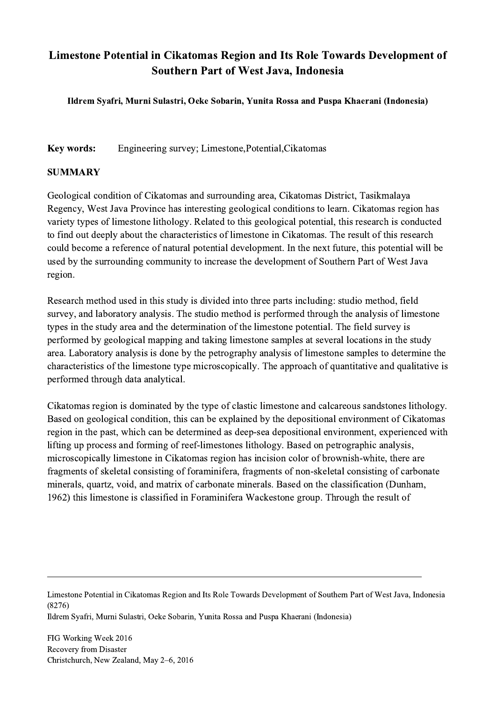## Limestone Potential in Cikatomas Region and Its Role Towards Development of Southern Part of West Java, Indonesia

Ildrem Syafri, Murni Sulastri, Oeke Sobarin, Yunita Rossa and Puspa Khaerani (Indonesia)

Key words: Engineering survey; Limestone,Potential,Cikatomas

## SUMMARY

Geological condition of Cikatomas and surrounding area, Cikatomas District, Tasikmalaya Regency, West Java Province has interesting geological conditions to learn. Cikatomas region has variety types of limestone lithology. Related to this geological potential, this research is conducted to find out deeply about the characteristics of limestone in Cikatomas. The result of this research could become a reference of natural potential development. In the next future, this potential will be used by the surrounding community to increase the development of Southern Part of West Java region.

Research method used in this study is divided into three parts including: studio method, field survey, and laboratory analysis. The studio method is performed through the analysis of limestone types in the study area and the determination of the limestone potential. The field survey is performed by geological mapping and taking limestone samples at several locations in the study area. Laboratory analysis is done by the petrography analysis of limestone samples to determine the characteristics of the limestone type microscopically. The approach of quantitative and qualitative is performed through data analytical.

Cikatomas region is dominated by the type of clastic limestone and calcareous sandstones lithology. Based on geological condition, this can be explained by the depositional environment of Cikatomas region in the past, which can be determined as deep-sea depositional environment, experienced with lifting up process and forming of reef-limestones lithology. Based on petrographic analysis, microscopically limestone in Cikatomas region has incision color of brownish-white, there are fragments of skeletal consisting of foraminifera, fragments of non-skeletal consisting of carbonate minerals, quartz, void, and matrix of carbonate minerals. Based on the classification (Dunham, 1962) this limestone is classified in Foraminifera Wackestone group. Through the result of

Limestone Potential in Cikatomas Region and Its Role Towards Development of Southern Part of West Java, Indonesia (8276)

 $\mathcal{L}_\mathcal{L} = \{ \mathcal{L}_\mathcal{L} = \{ \mathcal{L}_\mathcal{L} = \{ \mathcal{L}_\mathcal{L} = \{ \mathcal{L}_\mathcal{L} = \{ \mathcal{L}_\mathcal{L} = \{ \mathcal{L}_\mathcal{L} = \{ \mathcal{L}_\mathcal{L} = \{ \mathcal{L}_\mathcal{L} = \{ \mathcal{L}_\mathcal{L} = \{ \mathcal{L}_\mathcal{L} = \{ \mathcal{L}_\mathcal{L} = \{ \mathcal{L}_\mathcal{L} = \{ \mathcal{L}_\mathcal{L} = \{ \mathcal{L}_\mathcal{$ 

Ildrem Syafri, Murni Sulastri, Oeke Sobarin, Yunita Rossa and Puspa Khaerani (Indonesia)

FIG Working Week 2016 Recovery from Disaster Christchurch, New Zealand, May 2–6, 2016